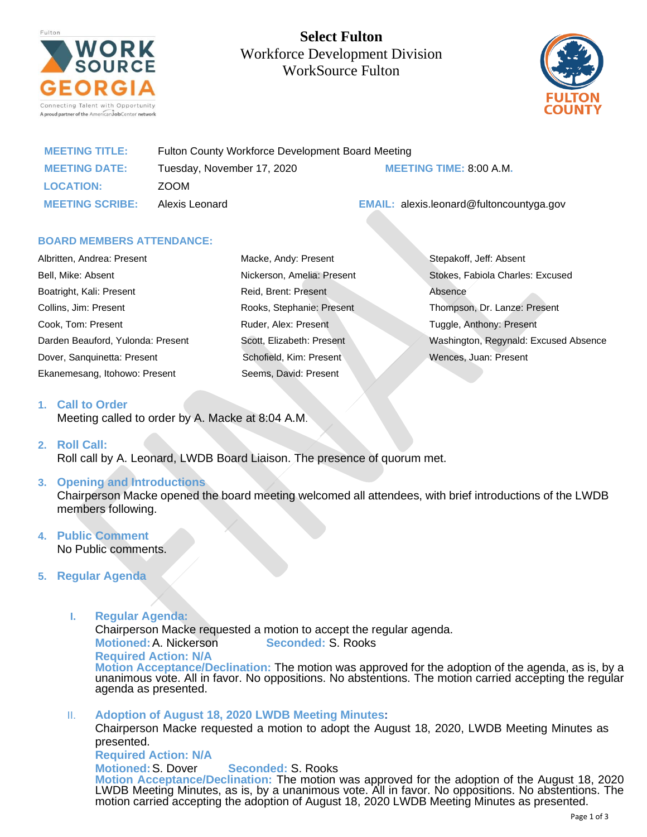

**Select Fulton**  Workforce Development Division WorkSource Fulton



| <b>MEETING TITLE:</b>  | Fulton County Workforce Development Board Meeting |                                                 |
|------------------------|---------------------------------------------------|-------------------------------------------------|
| <b>MEETING DATE:</b>   | Tuesday, November 17, 2020                        | <b>MEETING TIME: 8:00 A.M.</b>                  |
| <b>LOCATION:</b>       | ZOOM                                              |                                                 |
| <b>MEETING SCRIBE:</b> | Alexis Leonard                                    | <b>EMAIL:</b> alexis.leonard@fultoncountyga.gov |

## **BOARD MEMBERS ATTENDANCE:**

| Albritten, Andrea: Present        | Macke, Andy: Present       | Stepakoff, Jeff: Absent               |
|-----------------------------------|----------------------------|---------------------------------------|
| Bell, Mike: Absent                | Nickerson, Amelia: Present | Stokes, Fabiola Charles: Excused      |
| Boatright, Kali: Present          | Reid, Brent: Present       | Absence                               |
| Collins, Jim: Present             | Rooks, Stephanie: Present  | Thompson, Dr. Lanze: Present          |
| Cook, Tom: Present                | Ruder, Alex: Present       | Tuggle, Anthony: Present              |
| Darden Beauford, Yulonda: Present | Scott, Elizabeth: Present  | Washington, Regynald: Excused Absence |
| Dover, Sanguinetta: Present       | Schofield, Kim: Present    | Wences, Juan: Present                 |
| Ekanemesang, Itohowo: Present     | Seems, David: Present      |                                       |

#### **1. Call to Order**

Meeting called to order by A. Macke at 8:04 A.M.

#### **2. Roll Call:**

Roll call by A. Leonard, LWDB Board Liaison. The presence of quorum met.

## **3. Opening and Introductions**

Chairperson Macke opened the board meeting welcomed all attendees, with brief introductions of the LWDB members following.

#### **4. Public Comment** No Public comments.

# **5. Regular Agenda**

**I. Regular Agenda:**

Chairperson Macke requested a motion to accept the regular agenda.

**Motioned:**A. Nickerson **Seconded:** S. Rooks

**Required Action: N/A**

**Motion Acceptance/Declination:** The motion was approved for the adoption of the agenda, as is, by a unanimous vote. All in favor. No oppositions. No abstentions. The motion carried accepting the regular agenda as presented.

II. **Adoption of August 18, 2020 LWDB Meeting Minutes:**

Chairperson Macke requested a motion to adopt the August 18, 2020, LWDB Meeting Minutes as presented.

**Required Action: N/A**

**Motioned:**S. Dover **Seconded:** S. Rooks **Motion Acceptance/Declination:** The motion was approved for the adoption of the August 18, 2020 LWDB Meeting Minutes, as is, by a unanimous vote. All in favor. No oppositions. No abstentions. The motion carried accepting the adoption of August 18, 2020 LWDB Meeting Minutes as presented.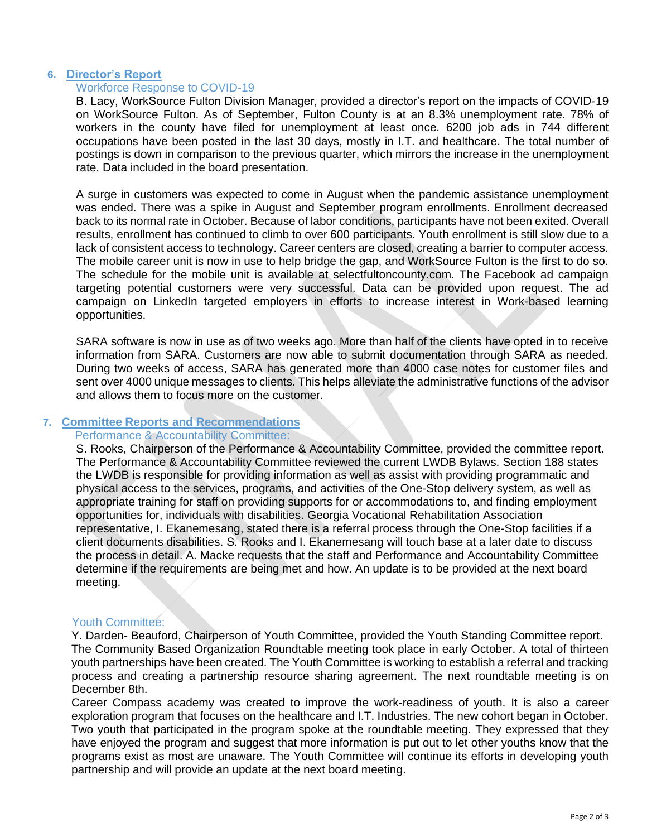## **6. Director's Report**

## Workforce Response to COVID-19

B. Lacy, WorkSource Fulton Division Manager, provided a director's report on the impacts of COVID-19 on WorkSource Fulton. As of September, Fulton County is at an 8.3% unemployment rate. 78% of workers in the county have filed for unemployment at least once. 6200 job ads in 744 different occupations have been posted in the last 30 days, mostly in I.T. and healthcare. The total number of postings is down in comparison to the previous quarter, which mirrors the increase in the unemployment rate. Data included in the board presentation.

A surge in customers was expected to come in August when the pandemic assistance unemployment was ended. There was a spike in August and September program enrollments. Enrollment decreased back to its normal rate in October. Because of labor conditions, participants have not been exited. Overall results, enrollment has continued to climb to over 600 participants. Youth enrollment is still slow due to a lack of consistent access to technology. Career centers are closed, creating a barrier to computer access. The mobile career unit is now in use to help bridge the gap, and WorkSource Fulton is the first to do so. The schedule for the mobile unit is available at selectfultoncounty.com. The Facebook ad campaign targeting potential customers were very successful. Data can be provided upon request. The ad campaign on LinkedIn targeted employers in efforts to increase interest in Work-based learning opportunities.

SARA software is now in use as of two weeks ago. More than half of the clients have opted in to receive information from SARA. Customers are now able to submit documentation through SARA as needed. During two weeks of access, SARA has generated more than 4000 case notes for customer files and sent over 4000 unique messages to clients. This helps alleviate the administrative functions of the advisor and allows them to focus more on the customer.

## **7. Committee Reports and Recommendations**

#### Performance & Accountability Committee:

S. Rooks, Chairperson of the Performance & Accountability Committee, provided the committee report. The Performance & Accountability Committee reviewed the current LWDB Bylaws. Section 188 states the LWDB is responsible for providing information as well as assist with providing programmatic and physical access to the services, programs, and activities of the One-Stop delivery system, as well as appropriate training for staff on providing supports for or accommodations to, and finding employment opportunities for, individuals with disabilities. Georgia Vocational Rehabilitation Association representative, I. Ekanemesang, stated there is a referral process through the One-Stop facilities if a client documents disabilities. S. Rooks and I. Ekanemesang will touch base at a later date to discuss the process in detail. A. Macke requests that the staff and Performance and Accountability Committee determine if the requirements are being met and how. An update is to be provided at the next board meeting.

#### Youth Committee:

Y. Darden- Beauford, Chairperson of Youth Committee, provided the Youth Standing Committee report. The Community Based Organization Roundtable meeting took place in early October. A total of thirteen youth partnerships have been created. The Youth Committee is working to establish a referral and tracking process and creating a partnership resource sharing agreement. The next roundtable meeting is on December 8th.

Career Compass academy was created to improve the work-readiness of youth. It is also a career exploration program that focuses on the healthcare and I.T. Industries. The new cohort began in October. Two youth that participated in the program spoke at the roundtable meeting. They expressed that they have enjoyed the program and suggest that more information is put out to let other youths know that the programs exist as most are unaware. The Youth Committee will continue its efforts in developing youth partnership and will provide an update at the next board meeting.